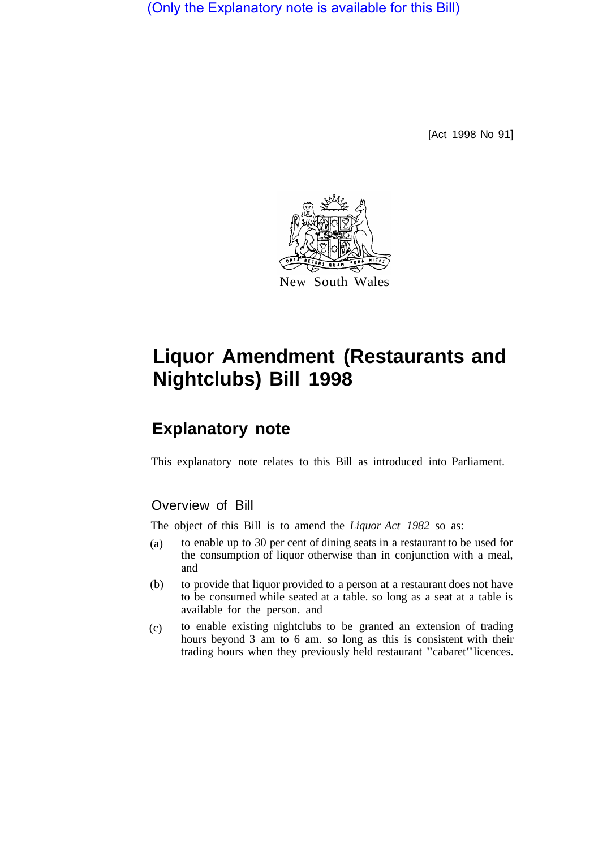(Only the Explanatory note is available for this Bill)

[Act 1998 No 91]



## **Liquor Amendment (Restaurants and Nightclubs) Bill 1998**

## **Explanatory note**

This explanatory note relates to this Bill as introduced into Parliament.

## Overview of Bill

The object of this Bill is to amend the *Liquor Act 1982* so as:

- to enable up to 30 per cent of dining seats in a restaurant to be used for the consumption of liquor otherwise than in conjunction with a meal, and (a)
- to provide that liquor provided to a person at a restaurant does not have to be consumed while seated at a table. so long as a seat at a table is available for the person. and (b)
- to enable existing nightclubs to be granted an extension of trading hours beyond 3 am to 6 am. so long as this is consistent with their trading hours when they previously held restaurant "cabaret" licences. (c)